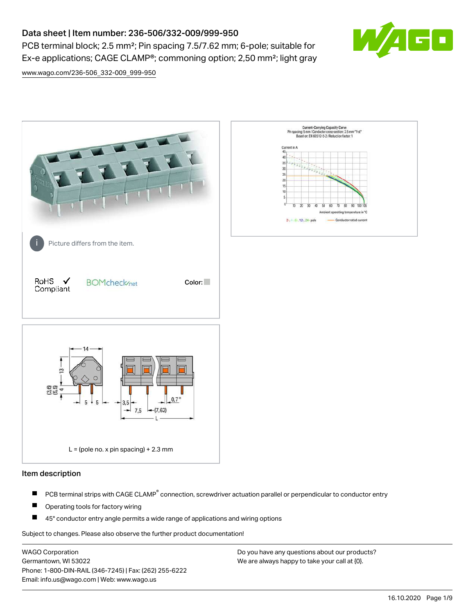# Data sheet | Item number: 236-506/332-009/999-950

PCB terminal block; 2.5 mm<sup>2</sup>; Pin spacing 7.5/7.62 mm; 6-pole; suitable for Ex-e applications; CAGE CLAMP®; commoning option; 2,50 mm²; light gray



[www.wago.com/236-506\\_332-009\\_999-950](http://www.wago.com/236-506_332-009_999-950)



## Item description

- PCB terminal strips with CAGE CLAMP<sup>®</sup> connection, screwdriver actuation parallel or perpendicular to conductor entry П
- П Operating tools for factory wiring
- П 45° conductor entry angle permits a wide range of applications and wiring options

Subject to changes. Please also observe the further product documentation!

WAGO Corporation Germantown, WI 53022 Phone: 1-800-DIN-RAIL (346-7245) | Fax: (262) 255-6222 Email: info.us@wago.com | Web: www.wago.us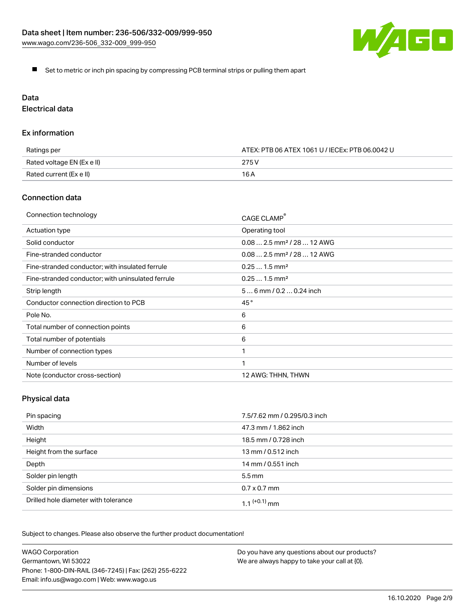

Set to metric or inch pin spacing by compressing PCB terminal strips or pulling them apart

# Data

Electrical data

## Ex information

| Ratings per                | ATEX: PTB 06 ATEX 1061 U / IECEx: PTB 06.0042 U |  |
|----------------------------|-------------------------------------------------|--|
| Rated voltage EN (Ex e II) | 275 V                                           |  |
| Rated current (Ex e II)    | 16 A                                            |  |

## Connection data

| Connection technology                             | CAGE CLAMP <sup>®</sup>                 |
|---------------------------------------------------|-----------------------------------------|
| Actuation type                                    | Operating tool                          |
| Solid conductor                                   | $0.08$ 2.5 mm <sup>2</sup> / 28  12 AWG |
| Fine-stranded conductor                           | $0.082.5$ mm <sup>2</sup> / 28  12 AWG  |
| Fine-stranded conductor; with insulated ferrule   | $0.251.5$ mm <sup>2</sup>               |
| Fine-stranded conductor; with uninsulated ferrule | $0.251.5$ mm <sup>2</sup>               |
| Strip length                                      | $56$ mm $/ 0.20.24$ inch                |
| Conductor connection direction to PCB             | 45°                                     |
| Pole No.                                          | 6                                       |
| Total number of connection points                 | 6                                       |
| Total number of potentials                        | 6                                       |
| Number of connection types                        |                                         |
| Number of levels                                  | 1                                       |
| Note (conductor cross-section)                    | 12 AWG: THHN, THWN                      |

# Physical data

| Pin spacing                          | 7.5/7.62 mm / 0.295/0.3 inch |
|--------------------------------------|------------------------------|
| Width                                | 47.3 mm / 1.862 inch         |
| Height                               | 18.5 mm / 0.728 inch         |
| Height from the surface              | 13 mm / 0.512 inch           |
| Depth                                | 14 mm / 0.551 inch           |
| Solder pin length                    | $5.5 \,\mathrm{mm}$          |
| Solder pin dimensions                | $0.7 \times 0.7$ mm          |
| Drilled hole diameter with tolerance | 1.1 $(+0.1)$ mm              |

Subject to changes. Please also observe the further product documentation!

| <b>WAGO Corporation</b>                                | Do you have any questions about our products? |
|--------------------------------------------------------|-----------------------------------------------|
| Germantown, WI 53022                                   | We are always happy to take your call at {0}. |
| Phone: 1-800-DIN-RAIL (346-7245)   Fax: (262) 255-6222 |                                               |
| Email: info.us@wago.com   Web: www.wago.us             |                                               |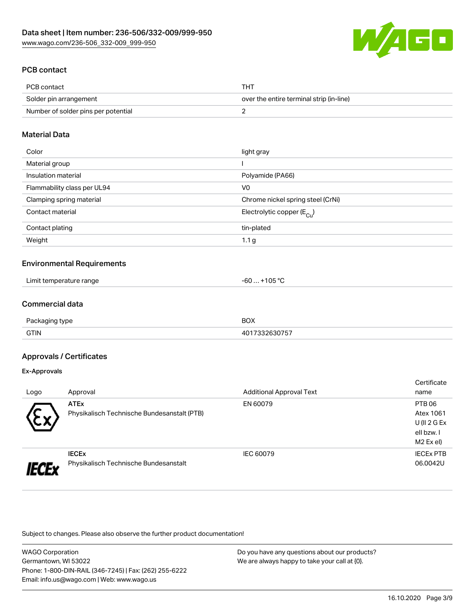

## PCB contact

| PCB contact                         | THT                                      |
|-------------------------------------|------------------------------------------|
| Solder pin arrangement              | over the entire terminal strip (in-line) |
| Number of solder pins per potential |                                          |

## Material Data

| Color                       | light gray                              |
|-----------------------------|-----------------------------------------|
| Material group              |                                         |
| Insulation material         | Polyamide (PA66)                        |
| Flammability class per UL94 | V <sub>0</sub>                          |
| Clamping spring material    | Chrome nickel spring steel (CrNi)       |
| Contact material            | Electrolytic copper ( $E_{\text{Cu}}$ ) |
| Contact plating             | tin-plated                              |
| Weight                      | 1.1 <sub>g</sub>                        |

### Environmental Requirements

| Limit temperature range<br><u>in the second contract of the second contract of the second contract of the second contract of the second contract of the second contract of the second contract of the second contract of the second contract of the second </u><br>. . | <b>OR</b> or<br>~~<br>-bL<br>$\overline{\mathbf{u}}$ |  |
|------------------------------------------------------------------------------------------------------------------------------------------------------------------------------------------------------------------------------------------------------------------------|------------------------------------------------------|--|
|------------------------------------------------------------------------------------------------------------------------------------------------------------------------------------------------------------------------------------------------------------------------|------------------------------------------------------|--|

## Commercial data

| Do.<br>type<br>$\sim$ - $\sim$ | <b>BOX</b> |
|--------------------------------|------------|
| <b>GTIN</b>                    |            |

## Approvals / Certificates

#### Ex-Approvals

|      |                                             |                                 | Certificate      |
|------|---------------------------------------------|---------------------------------|------------------|
| Logo | Approval                                    | <b>Additional Approval Text</b> | name             |
|      | <b>ATEx</b>                                 | EN 60079                        | PTB 06           |
| w    | Physikalisch Technische Bundesanstalt (PTB) |                                 | Atex 1061        |
|      |                                             |                                 | $U($ ll 2 G Ex   |
|      |                                             |                                 | ell bzw. I       |
|      |                                             |                                 | M2 Ex el)        |
|      | <b>IECEX</b>                                | IEC 60079                       | <b>IECEX PTB</b> |
|      | Physikalisch Technische Bundesanstalt       |                                 | 06.0042U         |

Subject to changes. Please also observe the further product documentation!

| <b>WAGO Corporation</b>                                |  |
|--------------------------------------------------------|--|
| Germantown, WI 53022                                   |  |
| Phone: 1-800-DIN-RAIL (346-7245)   Fax: (262) 255-6222 |  |
| Email: info.us@wago.com   Web: www.wago.us             |  |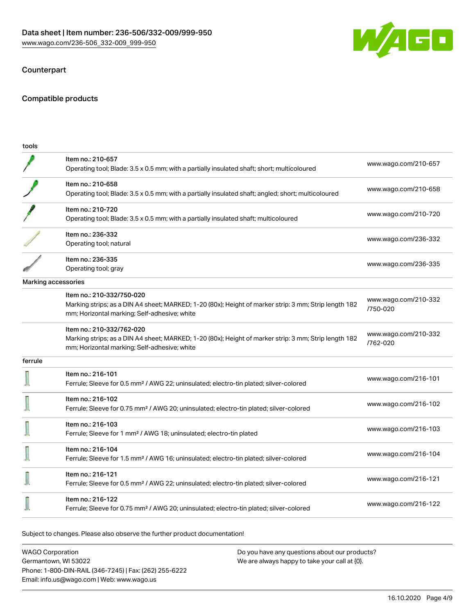

## Counterpart

## Compatible products

| tools   |                                                                                                                                                                                    |                                  |
|---------|------------------------------------------------------------------------------------------------------------------------------------------------------------------------------------|----------------------------------|
|         | Item no.: 210-657<br>Operating tool; Blade: 3.5 x 0.5 mm; with a partially insulated shaft; short; multicoloured                                                                   | www.wago.com/210-657             |
|         | Item no.: 210-658<br>Operating tool; Blade: 3.5 x 0.5 mm; with a partially insulated shaft; angled; short; multicoloured                                                           | www.wago.com/210-658             |
|         | Item no.: 210-720<br>Operating tool; Blade: 3.5 x 0.5 mm; with a partially insulated shaft; multicoloured                                                                          | www.wago.com/210-720             |
|         | Item no.: 236-332<br>Operating tool; natural                                                                                                                                       | www.wago.com/236-332             |
|         | Item no.: 236-335<br>Operating tool; gray                                                                                                                                          | www.wago.com/236-335             |
|         | Marking accessories                                                                                                                                                                |                                  |
|         | Item no.: 210-332/750-020<br>Marking strips; as a DIN A4 sheet; MARKED; 1-20 (80x); Height of marker strip: 3 mm; Strip length 182<br>mm; Horizontal marking; Self-adhesive; white | www.wago.com/210-332<br>/750-020 |
|         | Item no.: 210-332/762-020<br>Marking strips; as a DIN A4 sheet; MARKED; 1-20 (80x); Height of marker strip: 3 mm; Strip length 182<br>mm; Horizontal marking; Self-adhesive; white | www.wago.com/210-332<br>/762-020 |
| ferrule |                                                                                                                                                                                    |                                  |
|         | Item no.: 216-101<br>Ferrule; Sleeve for 0.5 mm <sup>2</sup> / AWG 22; uninsulated; electro-tin plated; silver-colored                                                             | www.wago.com/216-101             |
|         | Item no.: 216-102<br>Ferrule; Sleeve for 0.75 mm <sup>2</sup> / AWG 20; uninsulated; electro-tin plated; silver-colored                                                            | www.wago.com/216-102             |
|         | Item no.: 216-103<br>Ferrule; Sleeve for 1 mm <sup>2</sup> / AWG 18; uninsulated; electro-tin plated                                                                               | www.wago.com/216-103             |
|         | Item no.: 216-104<br>Ferrule; Sleeve for 1.5 mm <sup>2</sup> / AWG 16; uninsulated; electro-tin plated; silver-colored                                                             | www.wago.com/216-104             |
|         | Item no.: 216-121<br>Ferrule; Sleeve for 0.5 mm <sup>2</sup> / AWG 22; uninsulated; electro-tin plated; silver-colored                                                             | www.wago.com/216-121             |
|         | Item no.: 216-122<br>Ferrule; Sleeve for 0.75 mm <sup>2</sup> / AWG 20; uninsulated; electro-tin plated; silver-colored                                                            | www.wago.com/216-122             |
|         |                                                                                                                                                                                    |                                  |

Subject to changes. Please also observe the further product documentation!

WAGO Corporation Germantown, WI 53022 Phone: 1-800-DIN-RAIL (346-7245) | Fax: (262) 255-6222 Email: info.us@wago.com | Web: www.wago.us Do you have any questions about our products? We are always happy to take your call at {0}.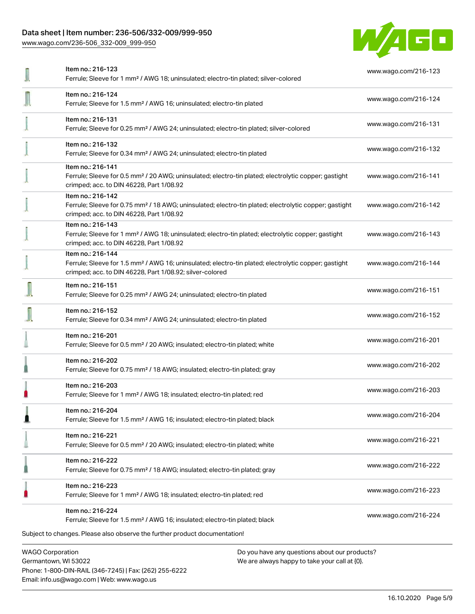## Data sheet | Item number: 236-506/332-009/999-950

[www.wago.com/236-506\\_332-009\\_999-950](http://www.wago.com/236-506_332-009_999-950)



| <b>WAGO Corporation</b><br>Do you have any questions about our products?                                                                                                                          |                      |
|---------------------------------------------------------------------------------------------------------------------------------------------------------------------------------------------------|----------------------|
| Item no.: 216-224<br>Ferrule; Sleeve for 1.5 mm <sup>2</sup> / AWG 16; insulated; electro-tin plated; black<br>Subject to changes. Please also observe the further product documentation!         | www.wago.com/216-224 |
| Item no.: 216-223<br>Ferrule; Sleeve for 1 mm <sup>2</sup> / AWG 18; insulated; electro-tin plated; red                                                                                           | www.wago.com/216-223 |
| Item no.: 216-222<br>Ferrule; Sleeve for 0.75 mm <sup>2</sup> / 18 AWG; insulated; electro-tin plated; gray                                                                                       | www.wago.com/216-222 |
| Item no.: 216-221<br>Ferrule; Sleeve for 0.5 mm <sup>2</sup> / 20 AWG; insulated; electro-tin plated; white                                                                                       | www.wago.com/216-221 |
| Item no.: 216-204<br>Ferrule; Sleeve for 1.5 mm <sup>2</sup> / AWG 16; insulated; electro-tin plated; black                                                                                       | www.wago.com/216-204 |
| Item no.: 216-203<br>Ferrule; Sleeve for 1 mm <sup>2</sup> / AWG 18; insulated; electro-tin plated; red                                                                                           | www.wago.com/216-203 |
| Item no.: 216-202<br>Ferrule; Sleeve for 0.75 mm <sup>2</sup> / 18 AWG; insulated; electro-tin plated; gray                                                                                       | www.wago.com/216-202 |
| Item no.: 216-201<br>Ferrule; Sleeve for 0.5 mm <sup>2</sup> / 20 AWG; insulated; electro-tin plated; white                                                                                       | www.wago.com/216-201 |
| Item no.: 216-152<br>Ferrule; Sleeve for 0.34 mm <sup>2</sup> / AWG 24; uninsulated; electro-tin plated                                                                                           | www.wago.com/216-152 |
| Item no.: 216-151<br>Ferrule; Sleeve for 0.25 mm <sup>2</sup> / AWG 24; uninsulated; electro-tin plated                                                                                           | www.wago.com/216-151 |
| Item no.: 216-144<br>Ferrule; Sleeve for 1.5 mm <sup>2</sup> / AWG 16; uninsulated; electro-tin plated; electrolytic copper; gastight<br>crimped; acc. to DIN 46228, Part 1/08.92; silver-colored | www.wago.com/216-144 |
| Item no.: 216-143<br>Ferrule; Sleeve for 1 mm <sup>2</sup> / AWG 18; uninsulated; electro-tin plated; electrolytic copper; gastight<br>crimped; acc. to DIN 46228, Part 1/08.92                   | www.wago.com/216-143 |
| Item no.: 216-142<br>Ferrule; Sleeve for 0.75 mm <sup>2</sup> / 18 AWG; uninsulated; electro-tin plated; electrolytic copper; gastight<br>crimped; acc. to DIN 46228, Part 1/08.92                | www.wago.com/216-142 |
| Item no.: 216-141<br>Ferrule; Sleeve for 0.5 mm <sup>2</sup> / 20 AWG; uninsulated; electro-tin plated; electrolytic copper; gastight<br>crimped; acc. to DIN 46228, Part 1/08.92                 | www.wago.com/216-141 |
| Item no.: 216-132<br>Ferrule; Sleeve for 0.34 mm <sup>2</sup> / AWG 24; uninsulated; electro-tin plated                                                                                           | www.wago.com/216-132 |
| Item no.: 216-131<br>Ferrule; Sleeve for 0.25 mm <sup>2</sup> / AWG 24; uninsulated; electro-tin plated; silver-colored                                                                           | www.wago.com/216-131 |
| Item no.: 216-124<br>Ferrule; Sleeve for 1.5 mm <sup>2</sup> / AWG 16; uninsulated; electro-tin plated                                                                                            | www.wago.com/216-124 |
| Item no.: 216-123<br>Ferrule; Sleeve for 1 mm <sup>2</sup> / AWG 18; uninsulated; electro-tin plated; silver-colored                                                                              | www.wago.com/216-123 |

Germantown, WI 53022 Phone: 1-800-DIN-RAIL (346-7245) | Fax: (262) 255-6222 Email: info.us@wago.com | Web: www.wago.us

We are always happy to take your call at {0}.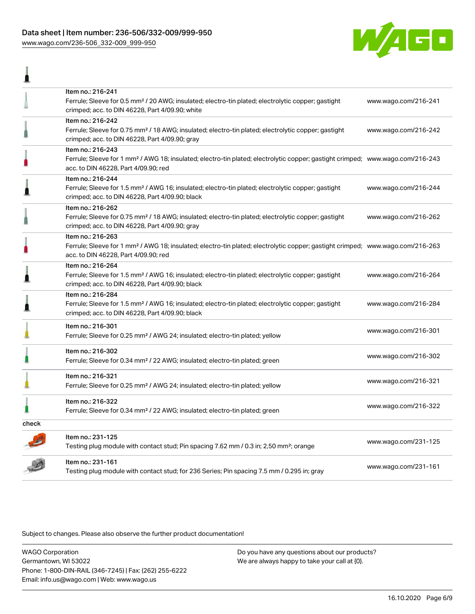## Data sheet | Item number: 236-506/332-009/999-950 [www.wago.com/236-506\\_332-009\\_999-950](http://www.wago.com/236-506_332-009_999-950)

I



|       | Item no.: 216-241<br>Ferrule; Sleeve for 0.5 mm <sup>2</sup> / 20 AWG; insulated; electro-tin plated; electrolytic copper; gastight<br>crimped; acc. to DIN 46228, Part 4/09.90; white                  | www.wago.com/216-241 |
|-------|---------------------------------------------------------------------------------------------------------------------------------------------------------------------------------------------------------|----------------------|
|       | Item no.: 216-242<br>Ferrule; Sleeve for 0.75 mm <sup>2</sup> / 18 AWG; insulated; electro-tin plated; electrolytic copper; gastight<br>crimped; acc. to DIN 46228, Part 4/09.90; gray                  | www.wago.com/216-242 |
| ı     | Item no.: 216-243<br>Ferrule; Sleeve for 1 mm <sup>2</sup> / AWG 18; insulated; electro-tin plated; electrolytic copper; gastight crimped; www.wago.com/216-243<br>acc. to DIN 46228, Part 4/09.90; red |                      |
|       | Item no.: 216-244<br>Ferrule; Sleeve for 1.5 mm <sup>2</sup> / AWG 16; insulated; electro-tin plated; electrolytic copper; gastight<br>crimped; acc. to DIN 46228, Part 4/09.90; black                  | www.wago.com/216-244 |
|       | Item no.: 216-262<br>Ferrule; Sleeve for 0.75 mm <sup>2</sup> / 18 AWG; insulated; electro-tin plated; electrolytic copper; gastight<br>crimped; acc. to DIN 46228, Part 4/09.90; gray                  | www.wago.com/216-262 |
| n     | Item no.: 216-263<br>Ferrule; Sleeve for 1 mm <sup>2</sup> / AWG 18; insulated; electro-tin plated; electrolytic copper; gastight crimped; www.wago.com/216-263<br>acc. to DIN 46228, Part 4/09.90; red |                      |
| 』     | Item no.: 216-264<br>Ferrule; Sleeve for 1.5 mm <sup>2</sup> / AWG 16; insulated; electro-tin plated; electrolytic copper; gastight<br>crimped; acc. to DIN 46228, Part 4/09.90; black                  | www.wago.com/216-264 |
|       | Item no.: 216-284<br>Ferrule; Sleeve for 1.5 mm <sup>2</sup> / AWG 16; insulated; electro-tin plated; electrolytic copper; gastight<br>crimped; acc. to DIN 46228, Part 4/09.90; black                  | www.wago.com/216-284 |
|       | Item no.: 216-301<br>Ferrule; Sleeve for 0.25 mm <sup>2</sup> / AWG 24; insulated; electro-tin plated; yellow                                                                                           | www.wago.com/216-301 |
|       | Item no.: 216-302<br>Ferrule; Sleeve for 0.34 mm <sup>2</sup> / 22 AWG; insulated; electro-tin plated; green                                                                                            | www.wago.com/216-302 |
|       | Item no.: 216-321<br>Ferrule; Sleeve for 0.25 mm <sup>2</sup> / AWG 24; insulated; electro-tin plated; yellow                                                                                           | www.wago.com/216-321 |
|       | Item no.: 216-322<br>Ferrule; Sleeve for 0.34 mm <sup>2</sup> / 22 AWG; insulated; electro-tin plated; green                                                                                            | www.wago.com/216-322 |
| check |                                                                                                                                                                                                         |                      |
|       | Item no.: 231-125<br>Testing plug module with contact stud; Pin spacing 7.62 mm / 0.3 in; 2,50 mm <sup>2</sup> ; orange                                                                                 | www.wago.com/231-125 |
|       | Item no.: 231-161<br>Testing plug module with contact stud; for 236 Series; Pin spacing 7.5 mm / 0.295 in; gray                                                                                         | www.wago.com/231-161 |

Subject to changes. Please also observe the further product documentation!

WAGO Corporation Germantown, WI 53022 Phone: 1-800-DIN-RAIL (346-7245) | Fax: (262) 255-6222 Email: info.us@wago.com | Web: www.wago.us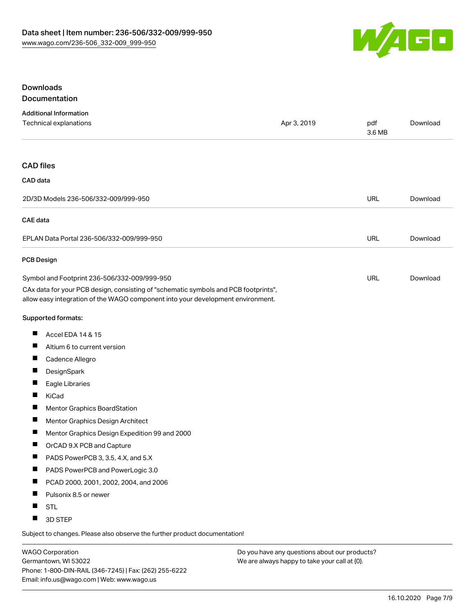

## Downloads Documentation

| <b>Additional Information</b>                                                                                                                                          |             |               |          |
|------------------------------------------------------------------------------------------------------------------------------------------------------------------------|-------------|---------------|----------|
| Technical explanations                                                                                                                                                 | Apr 3, 2019 | pdf<br>3.6 MB | Download |
| <b>CAD files</b>                                                                                                                                                       |             |               |          |
| CAD data                                                                                                                                                               |             |               |          |
| 2D/3D Models 236-506/332-009/999-950                                                                                                                                   |             | <b>URL</b>    | Download |
| <b>CAE</b> data                                                                                                                                                        |             |               |          |
| EPLAN Data Portal 236-506/332-009/999-950                                                                                                                              |             | URL           | Download |
| <b>PCB Design</b>                                                                                                                                                      |             |               |          |
| Symbol and Footprint 236-506/332-009/999-950                                                                                                                           |             | URL           | Download |
| CAx data for your PCB design, consisting of "schematic symbols and PCB footprints",<br>allow easy integration of the WAGO component into your development environment. |             |               |          |
| Supported formats:                                                                                                                                                     |             |               |          |
| ш<br>Accel EDA 14 & 15                                                                                                                                                 |             |               |          |
| п<br>Altium 6 to current version                                                                                                                                       |             |               |          |
| ш<br>Cadence Allegro                                                                                                                                                   |             |               |          |
| Ш<br>DesignSpark                                                                                                                                                       |             |               |          |
| Ш<br>Eagle Libraries                                                                                                                                                   |             |               |          |
| ш<br>KiCad                                                                                                                                                             |             |               |          |
| Ш<br>Mentor Graphics BoardStation                                                                                                                                      |             |               |          |
| ш<br>Mentor Graphics Design Architect                                                                                                                                  |             |               |          |
| ш<br>Mentor Graphics Design Expedition 99 and 2000                                                                                                                     |             |               |          |
| ш<br>OrCAD 9.X PCB and Capture                                                                                                                                         |             |               |          |
| PADS PowerPCB 3, 3.5, 4.X, and 5.X                                                                                                                                     |             |               |          |
| PADS PowerPCB and PowerLogic 3.0                                                                                                                                       |             |               |          |
| ш<br>PCAD 2000, 2001, 2002, 2004, and 2006                                                                                                                             |             |               |          |
| Pulsonix 8.5 or newer                                                                                                                                                  |             |               |          |
| <b>STL</b>                                                                                                                                                             |             |               |          |
| 3D STEP                                                                                                                                                                |             |               |          |

Subject to changes. Please also observe the further product documentation!

WAGO Corporation Germantown, WI 53022 Phone: 1-800-DIN-RAIL (346-7245) | Fax: (262) 255-6222 Email: info.us@wago.com | Web: www.wago.us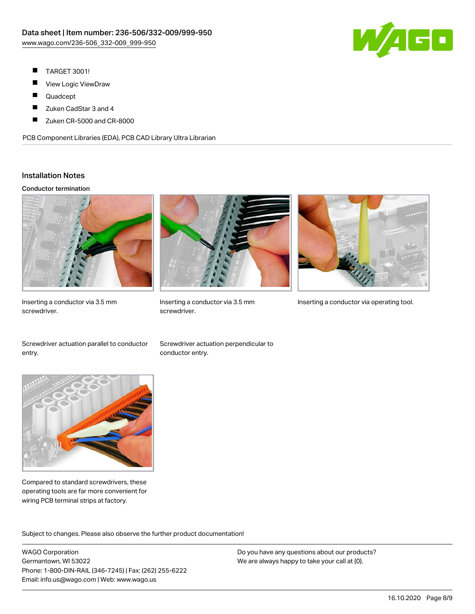

- П TARGET 3001!
- ш View Logic ViewDraw
- П Quadcept
- $\blacksquare$ Zuken CadStar 3 and 4
- Zuken CR-5000 and CR-8000 П

PCB Component Libraries (EDA), PCB CAD Library Ultra Librarian

## Installation Notes

#### Conductor termination



Inserting a conductor via 3.5 mm screwdriver.



screwdriver.



Inserting a conductor via 3.5 mm Inserting a conductor via operating tool.

Screwdriver actuation parallel to conductor entry.

Screwdriver actuation perpendicular to conductor entry.



Compared to standard screwdrivers, these operating tools are far more convenient for wiring PCB terminal strips at factory.

.<br>Subject to changes. Please also observe the further product documentation!

WAGO Corporation Germantown, WI 53022 Phone: 1-800-DIN-RAIL (346-7245) | Fax: (262) 255-6222 Email: info.us@wago.com | Web: www.wago.us